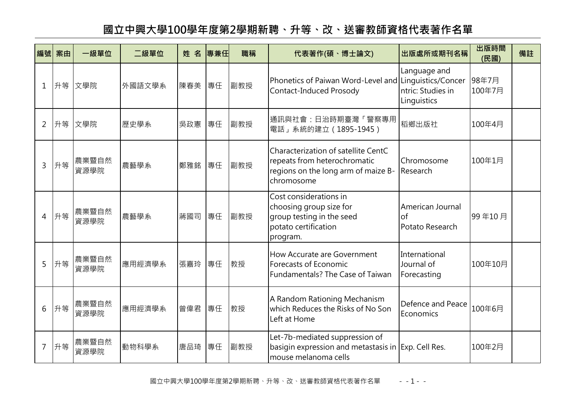## **國立中興大學100學年度第2學期新聘、升等、改、送審教師資格代表著作名單**

|                | 編號 案由 | 一級單位          | 二級單位   | 姓名  | 專兼任 | 職稱  | 代表著作(碩、博士論文)                                                                                                             | 出版處所或期刊名稱                                        | 出版時間<br>(民國)    | 備註 |
|----------------|-------|---------------|--------|-----|-----|-----|--------------------------------------------------------------------------------------------------------------------------|--------------------------------------------------|-----------------|----|
| 1              |       | 升等文學院         | 外國語文學系 | 陳春美 | 專任  | 副教授 | Phonetics of Paiwan Word-Level and Linguistics/Concer<br>Contact-Induced Prosody                                         | Language and<br>ntric: Studies in<br>Linguistics | 98年7月<br>100年7月 |    |
| 2              | 升等    | 文學院           | 歷史學系   | 吳政憲 | 專任  | 副教授 | 通訊與社會:日治時期臺灣「警察專用<br>電話」系統的建立 (1895-1945)                                                                                | 稻鄉出版社                                            | 100年4月          |    |
| 3              | 升等    | 農業暨自然<br>資源學院 | 農藝學系   | 鄭雅銘 | 專任  | 副教授 | Characterization of satellite CentC<br>repeats from heterochromatic<br>regions on the long arm of maize B-<br>chromosome | Chromosome<br>Research                           | 100年1月          |    |
| 4              | 升等    | 農業暨自然<br>資源學院 | 農藝學系   | 蔣國司 | 專任  | 副教授 | Cost considerations in<br>choosing group size for<br>group testing in the seed<br>potato certification<br>program.       | American Journal<br>$\Omega$<br>Potato Research  | 99年10月          |    |
| 5              | 升等    | 農業暨自然<br>資源學院 | 應用經濟學系 | 張嘉玲 | 專任  | 教授  | How Accurate are Government<br>Forecasts of Economic<br>Fundamentals? The Case of Taiwan                                 | International<br>Journal of<br>Forecasting       | 100年10月         |    |
| 6              | 升等    | 農業暨自然<br>資源學院 | 應用經濟學系 | 曾偉君 | 專任  | 教授  | A Random Rationing Mechanism<br>which Reduces the Risks of No Son<br>Left at Home                                        | Defence and Peace<br>Economics                   | 100年6月          |    |
| $\overline{7}$ | 升等    | 農業暨自然<br>資源學院 | 動物科學系  | 唐品琦 | 專任  | 副教授 | Let-7b-mediated suppression of<br>basigin expression and metastasis in Exp. Cell Res.<br>mouse melanoma cells            |                                                  | 100年2月          |    |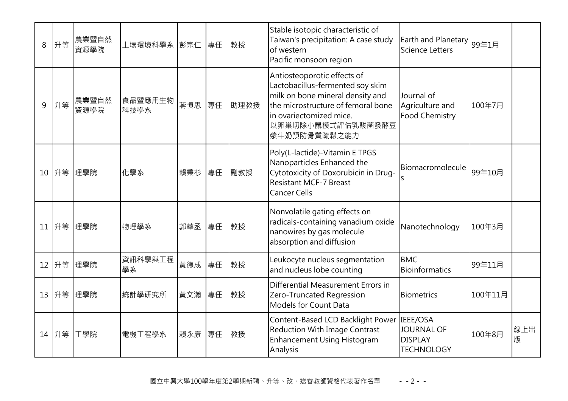| 8  | 升等 | 農業暨自然<br>資源學院 | 土壤環境科學系 彭宗仁     |     | 專任 | 教授   | Stable isotopic characteristic of<br>Taiwan's precipitation: A case study<br>of western<br>Pacific monsoon region                                                                                         | Earth and Planetary 99年1月<br>Science Letters                         |         |          |
|----|----|---------------|-----------------|-----|----|------|-----------------------------------------------------------------------------------------------------------------------------------------------------------------------------------------------------------|----------------------------------------------------------------------|---------|----------|
| 9  | 升等 | 農業暨自然<br>資源學院 | 食品暨應用生物<br>科技學系 | 蔣慎思 | 專任 | 助理教授 | Antiosteoporotic effects of<br>Lactobacillus-fermented soy skim<br>milk on bone mineral density and<br>the microstructure of femoral bone<br>in ovariectomized mice.<br>以卵巢切除小鼠模式評估乳酸菌發酵豆<br>漿牛奶預防骨質疏鬆之能力 | Journal of<br>Agriculture and<br><b>Food Chemistry</b>               | 100年7月  |          |
| 10 | 升等 | 理學院           | 化學系             | 賴秉杉 | 專任 | 副教授  | Poly(L-lactide)-Vitamin E TPGS<br>Nanoparticles Enhanced the<br>Cytotoxicity of Doxorubicin in Drug-<br><b>Resistant MCF-7 Breast</b><br><b>Cancer Cells</b>                                              | Biomacromolecule                                                     | 99年10月  |          |
| 11 | 升等 | 理學院           | 物理學系            | 郭華丞 | 專任 | 教授   | Nonvolatile gating effects on<br>radicals-containing vanadium oxide<br>nanowires by gas molecule<br>absorption and diffusion                                                                              | Nanotechnology                                                       | 100年3月  |          |
| 12 | 升等 | 理學院           | 資訊科學與工程<br>學系   | 黃德成 | 專任 | 教授   | Leukocyte nucleus segmentation<br>and nucleus lobe counting                                                                                                                                               | <b>BMC</b><br><b>Bioinformatics</b>                                  | 99年11月  |          |
| 13 | 升等 | 理學院           | 統計學研究所          | 黃文瀚 | 專任 | 教授   | Differential Measurement Errors in<br>Zero-Truncated Regression<br>Models for Count Data                                                                                                                  | <b>Biometrics</b>                                                    | 100年11月 |          |
| 14 | 升等 | 工學院           | 電機工程學系          | 賴永康 | 專任 | 教授   | Content-Based LCD Backlight Power<br><b>Reduction With Image Contrast</b><br><b>Enhancement Using Histogram</b><br>Analysis                                                                               | IEEE/OSA<br><b>JOURNAL OF</b><br><b>DISPLAY</b><br><b>TECHNOLOGY</b> | 100年8月  | 線上出<br>版 |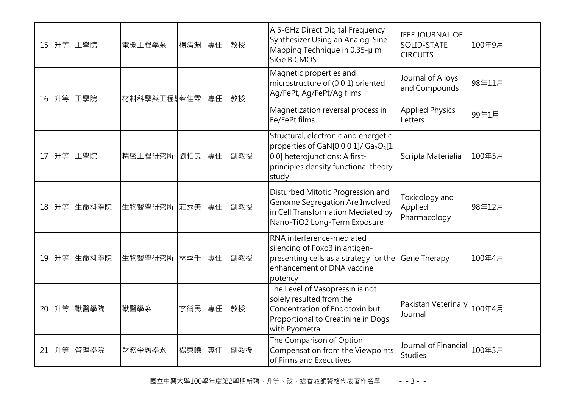| 15 | 升等    | 工學院   | 電機工程學系             | 楊清淵 | 專任 | 教授  | A 5-GHz Direct Digital Frequency<br>Synthesizer Using an Analog-Sine-<br>Mapping Technique in 0.35-µ m<br>SiGe BiCMOS                                                                   | <b>IEEE JOURNAL OF</b><br>SOLID-STATE<br><b>CIRCUITS</b> | 100年9月 |  |
|----|-------|-------|--------------------|-----|----|-----|-----------------------------------------------------------------------------------------------------------------------------------------------------------------------------------------|----------------------------------------------------------|--------|--|
| 16 | 升等    | 工學院   | 材料科學與工程身蔡佳霖        |     | 專任 | 教授  | Magnetic properties and<br>microstructure of (0 0 1) oriented<br>Ag/FePt, Ag/FePt/Ag films                                                                                              | Journal of Alloys<br>and Compounds                       | 98年11月 |  |
|    |       |       |                    |     |    |     | Magnetization reversal process in<br>Fe/FePt films                                                                                                                                      | <b>Applied Physics</b><br>Letters                        | 99年1月  |  |
| 17 | 升等    | 工學院   | 精密工程研究所   劉柏良   專任 |     |    | 副教授 | Structural, electronic and energetic<br>properties of GaN[0 0 0 1]/ Ga <sub>2</sub> O <sub>3</sub> [1<br>00] heterojunctions: A first-<br>principles density functional theory<br>study | Scripta Materialia                                       | 100年5月 |  |
|    | 18 升等 | 生命科學院 | 生物醫學研究所 莊秀美        |     | 專任 | 副教授 | Disturbed Mitotic Progression and<br>Genome Segregation Are Involved<br>in Cell Transformation Mediated by<br>Nano-TiO2 Long-Term Exposure                                              | Toxicology and<br>Applied<br>Pharmacology                | 98年12月 |  |
| 19 | 升等    | 生命科學院 | 生物醫學研究所 林季千        |     | 專任 | 副教授 | RNA interference-mediated<br>silencing of Foxo3 in antigen-<br>presenting cells as a strategy for the<br>enhancement of DNA vaccine<br>potency                                          | <b>Gene Therapy</b>                                      | 100年4月 |  |
| 20 | 升等    | 獸醫學院  | 獸醫學系               | 李衛民 | 專任 | 教授  | The Level of Vasopressin is not<br>solely resulted from the<br>Concentration of Endotoxin but<br>Proportional to Creatinine in Dogs<br>with Pyometra                                    | Pakistan Veterinary<br>Journal                           | 100年4月 |  |
| 21 | 升等    | 管理學院  | 財務金融學系             | 楊東曉 | 專任 | 副教授 | The Comparison of Option<br>Compensation from the Viewpoints<br>of Firms and Executives                                                                                                 | Journal of Financial<br><b>Studies</b>                   | 100年3月 |  |